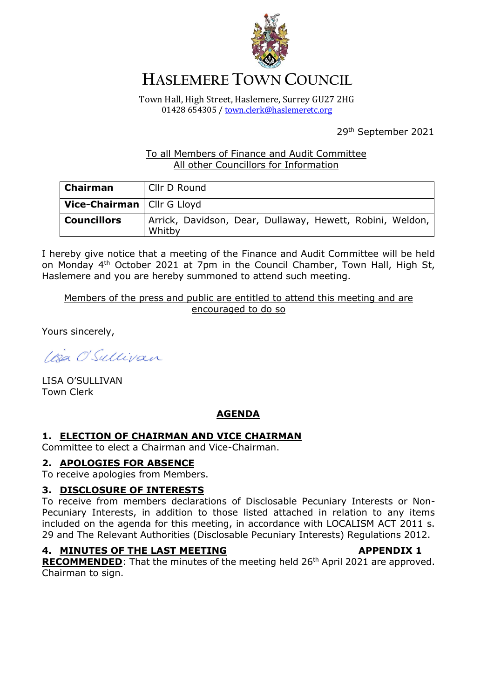

# **HASLEMERE TOWN COUNCIL**

Town Hall, High Street, Haslemere, Surrey GU27 2HG 01428 654305 / [town.clerk@haslemeretc.org](mailto:town.clerk@haslemeretc.org)

29th September 2021

# To all Members of Finance and Audit Committee All other Councillors for Information

| <b>Chairman</b>                     | Cllr D Round                                                        |
|-------------------------------------|---------------------------------------------------------------------|
| <b>Vice-Chairman</b>   Cllr G Lloyd |                                                                     |
| <b>Councillors</b>                  | Arrick, Davidson, Dear, Dullaway, Hewett, Robini, Weldon,<br>Whitby |

I hereby give notice that a meeting of the Finance and Audit Committee will be held on Monday 4<sup>th</sup> October 2021 at 7pm in the Council Chamber, Town Hall, High St, Haslemere and you are hereby summoned to attend such meeting.

Members of the press and public are entitled to attend this meeting and are encouraged to do so

Yours sincerely,

IBa O'Sullivan

LISA O'SULLIVAN Town Clerk

# **AGENDA**

## **1. ELECTION OF CHAIRMAN AND VICE CHAIRMAN**

Committee to elect a Chairman and Vice-Chairman.

### **2. APOLOGIES FOR ABSENCE**

To receive apologies from Members.

## **3. DISCLOSURE OF INTERESTS**

To receive from members declarations of Disclosable Pecuniary Interests or Non-Pecuniary Interests, in addition to those listed attached in relation to any items included on the agenda for this meeting, in accordance with LOCALISM ACT 2011 s. 29 and The Relevant Authorities (Disclosable Pecuniary Interests) Regulations 2012.

## **4. MINUTES OF THE LAST MEETING APPENDIX 1**

**RECOMMENDED:** That the minutes of the meeting held 26<sup>th</sup> April 2021 are approved. Chairman to sign.